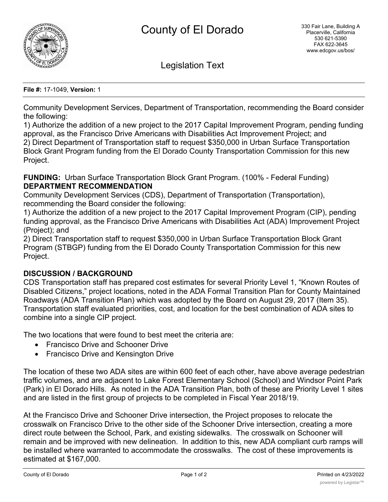

Legislation Text

**File #:** 17-1049, **Version:** 1

Community Development Services, Department of Transportation, recommending the Board consider the following:

1) Authorize the addition of a new project to the 2017 Capital Improvement Program, pending funding approval, as the Francisco Drive Americans with Disabilities Act Improvement Project; and 2) Direct Department of Transportation staff to request \$350,000 in Urban Surface Transportation Block Grant Program funding from the El Dorado County Transportation Commission for this new Project.

**FUNDING:** Urban Surface Transportation Block Grant Program. (100% - Federal Funding) **DEPARTMENT RECOMMENDATION**

Community Development Services (CDS), Department of Transportation (Transportation), recommending the Board consider the following:

1) Authorize the addition of a new project to the 2017 Capital Improvement Program (CIP), pending funding approval, as the Francisco Drive Americans with Disabilities Act (ADA) Improvement Project (Project); and

2) Direct Transportation staff to request \$350,000 in Urban Surface Transportation Block Grant Program (STBGP) funding from the El Dorado County Transportation Commission for this new Project.

# **DISCUSSION / BACKGROUND**

CDS Transportation staff has prepared cost estimates for several Priority Level 1, "Known Routes of Disabled Citizens," project locations, noted in the ADA Formal Transition Plan for County Maintained Roadways (ADA Transition Plan) which was adopted by the Board on August 29, 2017 (Item 35). Transportation staff evaluated priorities, cost, and location for the best combination of ADA sites to combine into a single CIP project.

The two locations that were found to best meet the criteria are:

- Francisco Drive and Schooner Drive
- · Francisco Drive and Kensington Drive

The location of these two ADA sites are within 600 feet of each other, have above average pedestrian traffic volumes, and are adjacent to Lake Forest Elementary School (School) and Windsor Point Park (Park) in El Dorado Hills. As noted in the ADA Transition Plan, both of these are Priority Level 1 sites and are listed in the first group of projects to be completed in Fiscal Year 2018/19.

At the Francisco Drive and Schooner Drive intersection, the Project proposes to relocate the crosswalk on Francisco Drive to the other side of the Schooner Drive intersection, creating a more direct route between the School, Park, and existing sidewalks. The crosswalk on Schooner will remain and be improved with new delineation. In addition to this, new ADA compliant curb ramps will be installed where warranted to accommodate the crosswalks. The cost of these improvements is estimated at \$167,000.